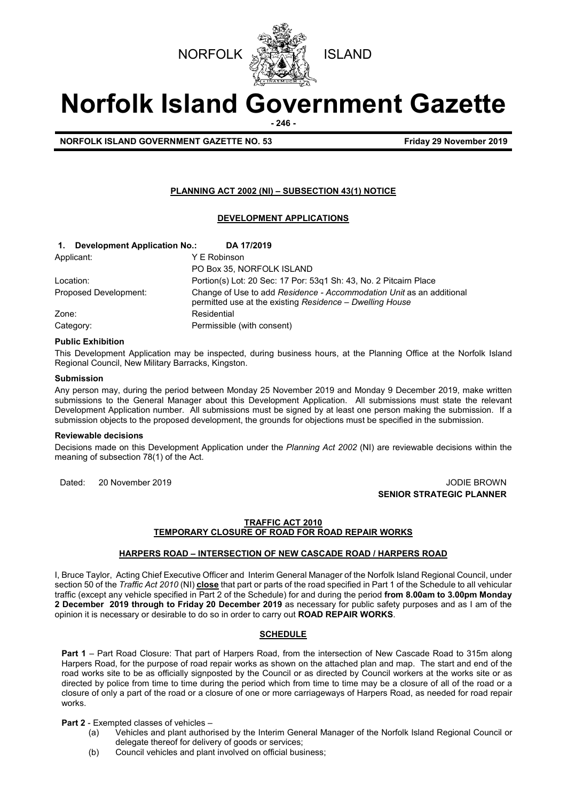



# **Norfolk Island Government Gazette**

**- 246 -**

**NORFOLK ISLAND GOVERNMENT GAZETTE NO. 53 Friday 29 November 2019** 

# **PLANNING ACT 2002 (NI) – SUBSECTION 43(1) NOTICE**

# **DEVELOPMENT APPLICATIONS**

| <b>Development Application No.:</b><br>DA 17/2019<br>$\mathbf{1}$ . |                                                                                                                                  |
|---------------------------------------------------------------------|----------------------------------------------------------------------------------------------------------------------------------|
| Applicant:                                                          | Y E Robinson                                                                                                                     |
|                                                                     | PO Box 35, NORFOLK ISLAND                                                                                                        |
| Location:                                                           | Portion(s) Lot: 20 Sec: 17 Por: 53q1 Sh: 43, No. 2 Pitcairn Place                                                                |
| Proposed Development:                                               | Change of Use to add Residence - Accommodation Unit as an additional<br>permitted use at the existing Residence - Dwelling House |
| Zone:                                                               | Residential                                                                                                                      |
| Category:                                                           | Permissible (with consent)                                                                                                       |

## **Public Exhibition**

This Development Application may be inspected, during business hours, at the Planning Office at the Norfolk Island Regional Council, New Military Barracks, Kingston.

#### **Submission**

Any person may, during the period between Monday 25 November 2019 and Monday 9 December 2019, make written submissions to the General Manager about this Development Application. All submissions must state the relevant Development Application number. All submissions must be signed by at least one person making the submission. If a submission objects to the proposed development, the grounds for objections must be specified in the submission.

#### **Reviewable decisions**

Decisions made on this Development Application under the *Planning Act 2002* (NI) are reviewable decisions within the meaning of subsection 78(1) of the Act.

Dated: 20 November 2019 JODIE BROWN **SENIOR STRATEGIC PLANNER** 

# **TRAFFIC ACT 2010 TEMPORARY CLOSURE OF ROAD FOR ROAD REPAIR WORKS**

## **HARPERS ROAD – INTERSECTION OF NEW CASCADE ROAD / HARPERS ROAD**

I, Bruce Taylor, Acting Chief Executive Officer and Interim General Manager of the Norfolk Island Regional Council, under section 50 of the *Traffic Act 2010* (NI) **close** that part or parts of the road specified in Part 1 of the Schedule to all vehicular traffic (except any vehicle specified in Part 2 of the Schedule) for and during the period **from 8.00am to 3.00pm Monday 2 December 2019 through to Friday 20 December 2019** as necessary for public safety purposes and as I am of the opinion it is necessary or desirable to do so in order to carry out **ROAD REPAIR WORKS**.

# **SCHEDULE**

**Part 1** – Part Road Closure: That part of Harpers Road, from the intersection of New Cascade Road to 315m along Harpers Road, for the purpose of road repair works as shown on the attached plan and map. The start and end of the road works site to be as officially signposted by the Council or as directed by Council workers at the works site or as directed by police from time to time during the period which from time to time may be a closure of all of the road or a closure of only a part of the road or a closure of one or more carriageways of Harpers Road, as needed for road repair works.

**Part 2** - Exempted classes of vehicles –

- (a) Vehicles and plant authorised by the Interim General Manager of the Norfolk Island Regional Council or delegate thereof for delivery of goods or services;
	- (b) Council vehicles and plant involved on official business;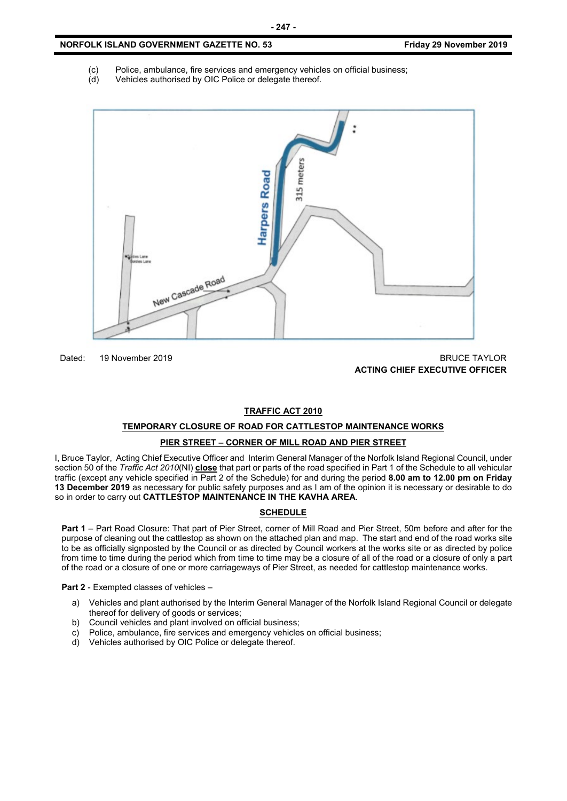# **NORFOLK ISLAND GOVERNMENT GAZETTE NO. 53 Friday 29 November 2019**

- 
- (c) Police, ambulance, fire services and emergency vehicles on official business;<br>(d) Vehicles authorised by OIC Police or delegate thereof.
- Vehicles authorised by OIC Police or delegate thereof.



Dated: 19 November 2019 BRUCE TAYLOR **ACTING CHIEF EXECUTIVE OFFICER**

## **TRAFFIC ACT 2010**

## **TEMPORARY CLOSURE OF ROAD FOR CATTLESTOP MAINTENANCE WORKS**

# **PIER STREET – CORNER OF MILL ROAD AND PIER STREET**

I, Bruce Taylor, Acting Chief Executive Officer and Interim General Manager of the Norfolk Island Regional Council, under section 50 of the *Traffic Act 2010*(NI) **close** that part or parts of the road specified in Part 1 of the Schedule to all vehicular traffic (except any vehicle specified in Part 2 of the Schedule) for and during the period **8.00 am to 12.00 pm on Friday 13 December 2019** as necessary for public safety purposes and as I am of the opinion it is necessary or desirable to do so in order to carry out **CATTLESTOP MAINTENANCE IN THE KAVHA AREA**.

# **SCHEDULE**

**Part 1** – Part Road Closure: That part of Pier Street, corner of Mill Road and Pier Street, 50m before and after for the purpose of cleaning out the cattlestop as shown on the attached plan and map. The start and end of the road works site to be as officially signposted by the Council or as directed by Council workers at the works site or as directed by police from time to time during the period which from time to time may be a closure of all of the road or a closure of only a part of the road or a closure of one or more carriageways of Pier Street, as needed for cattlestop maintenance works.

**Part 2** - Exempted classes of vehicles –

- a) Vehicles and plant authorised by the Interim General Manager of the Norfolk Island Regional Council or delegate thereof for delivery of goods or services;
- b) Council vehicles and plant involved on official business;
- c) Police, ambulance, fire services and emergency vehicles on official business;
- d) Vehicles authorised by OIC Police or delegate thereof.